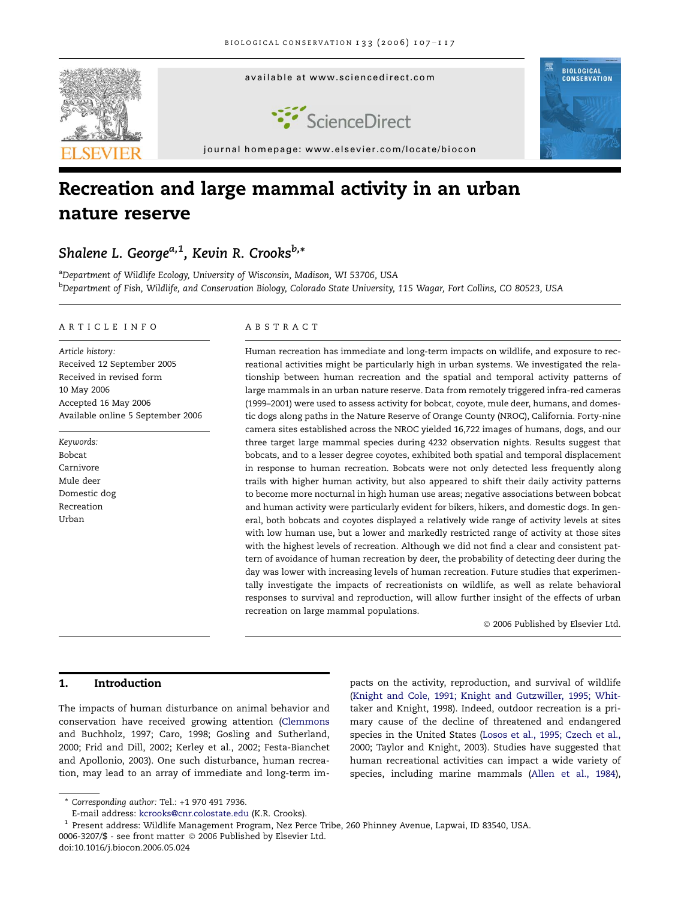

# Recreation and large mammal activity in an urban nature reserve

# Shalene L. George<sup>a, 1</sup>, Kevin R. Crooks<sup>b,\*</sup>

<sup>a</sup>Department of Wildlife Ecology, University of Wisconsin, Madison, WI 53706, USA <sup>b</sup>Department of Fish, Wildlife, and Conservation Biology, Colorado State University, 115 Wagar, Fort Collins, CO 80523, USA

#### ARTICLE INFO

Article history: Received 12 September 2005 Received in revised form 10 May 2006 Accepted 16 May 2006 Available online 5 September 2006

Keywords: Bobcat Carnivore Mule deer Domestic dog Recreation Urban

### ABSTRACT

Human recreation has immediate and long-term impacts on wildlife, and exposure to recreational activities might be particularly high in urban systems. We investigated the relationship between human recreation and the spatial and temporal activity patterns of large mammals in an urban nature reserve. Data from remotely triggered infra-red cameras (1999–2001) were used to assess activity for bobcat, coyote, mule deer, humans, and domestic dogs along paths in the Nature Reserve of Orange County (NROC), California. Forty-nine camera sites established across the NROC yielded 16,722 images of humans, dogs, and our three target large mammal species during 4232 observation nights. Results suggest that bobcats, and to a lesser degree coyotes, exhibited both spatial and temporal displacement in response to human recreation. Bobcats were not only detected less frequently along trails with higher human activity, but also appeared to shift their daily activity patterns to become more nocturnal in high human use areas; negative associations between bobcat and human activity were particularly evident for bikers, hikers, and domestic dogs. In general, both bobcats and coyotes displayed a relatively wide range of activity levels at sites with low human use, but a lower and markedly restricted range of activity at those sites with the highest levels of recreation. Although we did not find a clear and consistent pattern of avoidance of human recreation by deer, the probability of detecting deer during the day was lower with increasing levels of human recreation. Future studies that experimentally investigate the impacts of recreationists on wildlife, as well as relate behavioral responses to survival and reproduction, will allow further insight of the effects of urban recreation on large mammal populations.

© 2006 Published by Elsevier Ltd.

# 1. Introduction

The impacts of human disturbance on animal behavior and conservation have received growing attention ([Clemmons](#page-8-0) [and Buchholz, 1997; Caro, 1998; Gosling and Sutherland,](#page-8-0) [2000; Frid and Dill, 2002; Kerley et al., 2002; Festa-Bianchet](#page-8-0) [and Apollonio, 2003](#page-8-0)). One such disturbance, human recreation, may lead to an array of immediate and long-term im-

pacts on the activity, reproduction, and survival of wildlife [\(Knight and Cole, 1991; Knight and Gutzwiller, 1995; Whit](#page-9-0)[taker and Knight, 1998](#page-9-0)). Indeed, outdoor recreation is a primary cause of the decline of threatened and endangered species in the United States [\(Losos et al., 1995; Czech et al.,](#page-9-0) [2000; Taylor and Knight, 2003](#page-9-0)). Studies have suggested that human recreational activities can impact a wide variety of species, including marine mammals [\(Allen et al., 1984](#page-8-0)),

<sup>\*</sup> Corresponding author: Tel.: +1 970 491 7936.

E-mail address: [kcrooks@cnr.colostate.edu](mailto:kcrooks@cnr.colostate.edu) (K.R. Crooks).

<sup>0006-3207/\$ -</sup> see front matter © 2006 Published by Elsevier Ltd. <sup>1</sup> Present address: Wildlife Management Program, Nez Perce Tribe, 260 Phinney Avenue, Lapwai, ID 83540, USA.

doi:10.1016/j.biocon.2006.05.024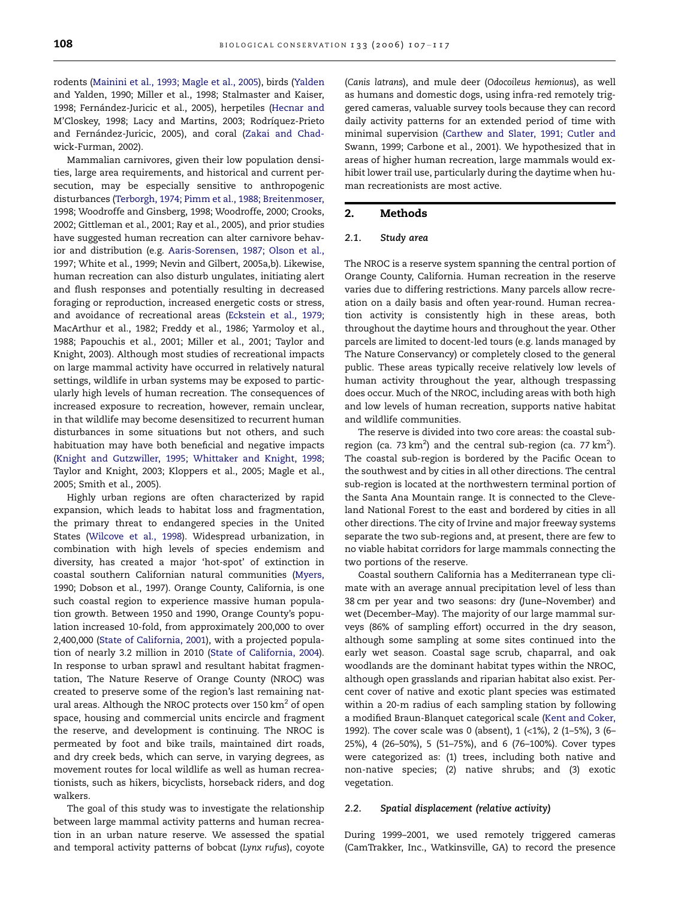rodents ([Mainini et al., 1993; Magle et al., 2005](#page-9-0)), birds ([Yalden](#page-10-0) [and Yalden, 1990; Miller et al., 1998; Stalmaster and Kaiser,](#page-10-0) 1998; Fernández-Juricic et al., 2005), herpetiles ([Hecnar and](#page-9-0) M'Closkey, 1998; Lacy and Martins, 2003; Rodríquez-Prieto and Fernández-Juricic, 2005), and coral (Zakai and Chadwick-Furman, 2002).

Mammalian carnivores, given their low population densities, large area requirements, and historical and current persecution, may be especially sensitive to anthropogenic disturbances ([Terborgh, 1974; Pimm et al., 1988; Breitenmoser,](#page-10-0) [1998; Woodroffe and Ginsberg, 1998; Woodroffe, 2000; Crooks,](#page-10-0) [2002; Gittleman et al., 2001; Ray et al., 2005](#page-10-0)), and prior studies have suggested human recreation can alter carnivore behavior and distribution (e.g. [Aaris-Sorensen, 1987; Olson et al.,](#page-8-0) [1997; White et al., 1999; Nevin and Gilbert, 2005a,b\)](#page-8-0). Likewise, human recreation can also disturb ungulates, initiating alert and flush responses and potentially resulting in decreased foraging or reproduction, increased energetic costs or stress, and avoidance of recreational areas ([Eckstein et al., 1979;](#page-9-0) [MacArthur et al., 1982; Freddy et al., 1986; Yarmoloy et al.,](#page-9-0) [1988; Papouchis et al., 2001; Miller et al., 2001; Taylor and](#page-9-0) [Knight, 2003\)](#page-9-0). Although most studies of recreational impacts on large mammal activity have occurred in relatively natural settings, wildlife in urban systems may be exposed to particularly high levels of human recreation. The consequences of increased exposure to recreation, however, remain unclear, in that wildlife may become desensitized to recurrent human disturbances in some situations but not others, and such habituation may have both beneficial and negative impacts ([Knight and Gutzwiller, 1995; Whittaker and Knight, 1998;](#page-9-0) [Taylor and Knight, 2003; Kloppers et al., 2005; Magle et al.,](#page-9-0) [2005; Smith et al., 2005\)](#page-9-0).

Highly urban regions are often characterized by rapid expansion, which leads to habitat loss and fragmentation, the primary threat to endangered species in the United States [\(Wilcove et al., 1998\)](#page-10-0). Widespread urbanization, in combination with high levels of species endemism and diversity, has created a major 'hot-spot' of extinction in coastal southern Californian natural communities ([Myers,](#page-9-0) [1990; Dobson et al., 1997](#page-9-0)). Orange County, California, is one such coastal region to experience massive human population growth. Between 1950 and 1990, Orange County's population increased 10-fold, from approximately 200,000 to over 2,400,000 ([State of California, 2001\)](#page-10-0), with a projected population of nearly 3.2 million in 2010 ([State of California, 2004\)](#page-10-0). In response to urban sprawl and resultant habitat fragmentation, The Nature Reserve of Orange County (NROC) was created to preserve some of the region's last remaining natural areas. Although the NROC protects over 150  $km<sup>2</sup>$  of open space, housing and commercial units encircle and fragment the reserve, and development is continuing. The NROC is permeated by foot and bike trails, maintained dirt roads, and dry creek beds, which can serve, in varying degrees, as movement routes for local wildlife as well as human recreationists, such as hikers, bicyclists, horseback riders, and dog walkers.

The goal of this study was to investigate the relationship between large mammal activity patterns and human recreation in an urban nature reserve. We assessed the spatial and temporal activity patterns of bobcat (Lynx rufus), coyote (Canis latrans), and mule deer (Odocoileus hemionus), as well as humans and domestic dogs, using infra-red remotely triggered cameras, valuable survey tools because they can record daily activity patterns for an extended period of time with minimal supervision [\(Carthew and Slater, 1991; Cutler and](#page-8-0) [Swann, 1999; Carbone et al., 2001\)](#page-8-0). We hypothesized that in areas of higher human recreation, large mammals would exhibit lower trail use, particularly during the daytime when human recreationists are most active.

# 2. Methods

#### 2.1. Study area

The NROC is a reserve system spanning the central portion of Orange County, California. Human recreation in the reserve varies due to differing restrictions. Many parcels allow recreation on a daily basis and often year-round. Human recreation activity is consistently high in these areas, both throughout the daytime hours and throughout the year. Other parcels are limited to docent-led tours (e.g. lands managed by The Nature Conservancy) or completely closed to the general public. These areas typically receive relatively low levels of human activity throughout the year, although trespassing does occur. Much of the NROC, including areas with both high and low levels of human recreation, supports native habitat and wildlife communities.

The reserve is divided into two core areas: the coastal subregion (ca. 73  $km^2$ ) and the central sub-region (ca. 77  $km^2$ ). The coastal sub-region is bordered by the Pacific Ocean to the southwest and by cities in all other directions. The central sub-region is located at the northwestern terminal portion of the Santa Ana Mountain range. It is connected to the Cleveland National Forest to the east and bordered by cities in all other directions. The city of Irvine and major freeway systems separate the two sub-regions and, at present, there are few to no viable habitat corridors for large mammals connecting the two portions of the reserve.

Coastal southern California has a Mediterranean type climate with an average annual precipitation level of less than 38 cm per year and two seasons: dry (June–November) and wet (December–May). The majority of our large mammal surveys (86% of sampling effort) occurred in the dry season, although some sampling at some sites continued into the early wet season. Coastal sage scrub, chaparral, and oak woodlands are the dominant habitat types within the NROC, although open grasslands and riparian habitat also exist. Percent cover of native and exotic plant species was estimated within a 20-m radius of each sampling station by following a modified Braun-Blanquet categorical scale ([Kent and Coker,](#page-9-0) [1992\)](#page-9-0). The cover scale was 0 (absent), 1 (<1%), 2 (1–5%), 3 (6– 25%), 4 (26–50%), 5 (51–75%), and 6 (76–100%). Cover types were categorized as: (1) trees, including both native and non-native species; (2) native shrubs; and (3) exotic vegetation.

#### 2.2. Spatial displacement (relative activity)

During 1999–2001, we used remotely triggered cameras (CamTrakker, Inc., Watkinsville, GA) to record the presence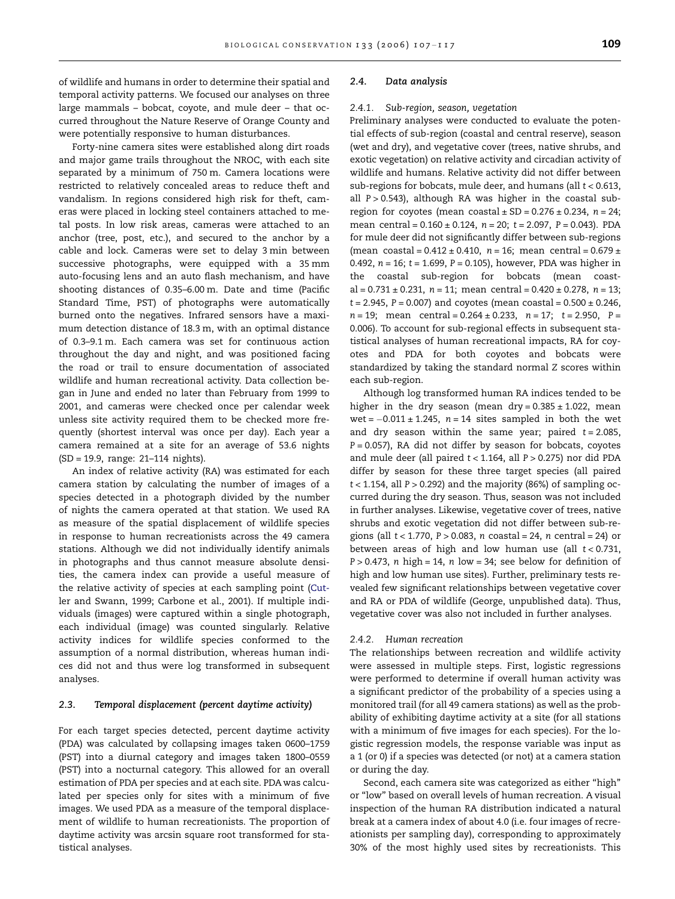of wildlife and humans in order to determine their spatial and temporal activity patterns. We focused our analyses on three large mammals – bobcat, coyote, and mule deer – that occurred throughout the Nature Reserve of Orange County and were potentially responsive to human disturbances.

Forty-nine camera sites were established along dirt roads and major game trails throughout the NROC, with each site separated by a minimum of 750 m. Camera locations were restricted to relatively concealed areas to reduce theft and vandalism. In regions considered high risk for theft, cameras were placed in locking steel containers attached to metal posts. In low risk areas, cameras were attached to an anchor (tree, post, etc.), and secured to the anchor by a cable and lock. Cameras were set to delay 3 min between successive photographs, were equipped with a 35 mm auto-focusing lens and an auto flash mechanism, and have shooting distances of 0.35–6.00 m. Date and time (Pacific Standard Time, PST) of photographs were automatically burned onto the negatives. Infrared sensors have a maximum detection distance of 18.3 m, with an optimal distance of 0.3–9.1 m. Each camera was set for continuous action throughout the day and night, and was positioned facing the road or trail to ensure documentation of associated wildlife and human recreational activity. Data collection began in June and ended no later than February from 1999 to 2001, and cameras were checked once per calendar week unless site activity required them to be checked more frequently (shortest interval was once per day). Each year a camera remained at a site for an average of 53.6 nights (SD = 19.9, range: 21–114 nights).

An index of relative activity (RA) was estimated for each camera station by calculating the number of images of a species detected in a photograph divided by the number of nights the camera operated at that station. We used RA as measure of the spatial displacement of wildlife species in response to human recreationists across the 49 camera stations. Although we did not individually identify animals in photographs and thus cannot measure absolute densities, the camera index can provide a useful measure of the relative activity of species at each sampling point [\(Cut](#page-8-0)[ler and Swann, 1999; Carbone et al., 2001\)](#page-8-0). If multiple individuals (images) were captured within a single photograph, each individual (image) was counted singularly. Relative activity indices for wildlife species conformed to the assumption of a normal distribution, whereas human indices did not and thus were log transformed in subsequent analyses.

#### 2.3. Temporal displacement (percent daytime activity)

For each target species detected, percent daytime activity (PDA) was calculated by collapsing images taken 0600–1759 (PST) into a diurnal category and images taken 1800–0559 (PST) into a nocturnal category. This allowed for an overall estimation of PDA per species and at each site. PDA was calculated per species only for sites with a minimum of five images. We used PDA as a measure of the temporal displacement of wildlife to human recreationists. The proportion of daytime activity was arcsin square root transformed for statistical analyses.

# 2.4. Data analysis

#### 2.4.1. Sub-region, season, vegetation

Preliminary analyses were conducted to evaluate the potential effects of sub-region (coastal and central reserve), season (wet and dry), and vegetative cover (trees, native shrubs, and exotic vegetation) on relative activity and circadian activity of wildlife and humans. Relative activity did not differ between sub-regions for bobcats, mule deer, and humans (all  $t < 0.613$ , all  $P > 0.543$ ), although RA was higher in the coastal subregion for coyotes (mean coastal  $\pm$  SD = 0.276  $\pm$  0.234, n = 24; mean central =  $0.160 \pm 0.124$ ,  $n = 20$ ;  $t = 2.097$ ,  $P = 0.043$ ). PDA for mule deer did not significantly differ between sub-regions (mean coastal =  $0.412 \pm 0.410$ ,  $n = 16$ ; mean central =  $0.679 \pm 10^{-10}$ 0.492,  $n = 16$ ;  $t = 1.699$ ,  $P = 0.105$ ), however, PDA was higher in the coastal sub-region for bobcats (mean coastal =  $0.731 \pm 0.231$ ,  $n = 11$ ; mean central =  $0.420 \pm 0.278$ ,  $n = 13$ ;  $t = 2.945$ ,  $P = 0.007$ ) and coyotes (mean coastal =  $0.500 \pm 0.246$ ,  $n = 19$ ; mean central = 0.264 ± 0.233,  $n = 17$ ; t = 2.950, P = 0.006). To account for sub-regional effects in subsequent statistical analyses of human recreational impacts, RA for coyotes and PDA for both coyotes and bobcats were standardized by taking the standard normal Z scores within each sub-region.

Although log transformed human RA indices tended to be higher in the dry season (mean dry =  $0.385 \pm 1.022$ , mean wet =  $-0.011 \pm 1.245$ ,  $n = 14$  sites sampled in both the wet and dry season within the same year; paired  $t = 2.085$ ,  $P = 0.057$ ), RA did not differ by season for bobcats, coyotes and mule deer (all paired  $t < 1.164$ , all  $P > 0.275$ ) nor did PDA differ by season for these three target species (all paired  $t < 1.154$ , all  $P > 0.292$ ) and the majority (86%) of sampling occurred during the dry season. Thus, season was not included in further analyses. Likewise, vegetative cover of trees, native shrubs and exotic vegetation did not differ between sub-regions (all  $t < 1.770$ ,  $P > 0.083$ , n coastal = 24, n central = 24) or between areas of high and low human use (all  $t < 0.731$ ,  $P > 0.473$ , n high = 14, n low = 34; see below for definition of high and low human use sites). Further, preliminary tests revealed few significant relationships between vegetative cover and RA or PDA of wildlife (George, unpublished data). Thus, vegetative cover was also not included in further analyses.

#### 2.4.2. Human recreation

The relationships between recreation and wildlife activity were assessed in multiple steps. First, logistic regressions were performed to determine if overall human activity was a significant predictor of the probability of a species using a monitored trail (for all 49 camera stations) as well as the probability of exhibiting daytime activity at a site (for all stations with a minimum of five images for each species). For the logistic regression models, the response variable was input as a 1 (or 0) if a species was detected (or not) at a camera station or during the day.

Second, each camera site was categorized as either "high" or ''low'' based on overall levels of human recreation. A visual inspection of the human RA distribution indicated a natural break at a camera index of about 4.0 (i.e. four images of recreationists per sampling day), corresponding to approximately 30% of the most highly used sites by recreationists. This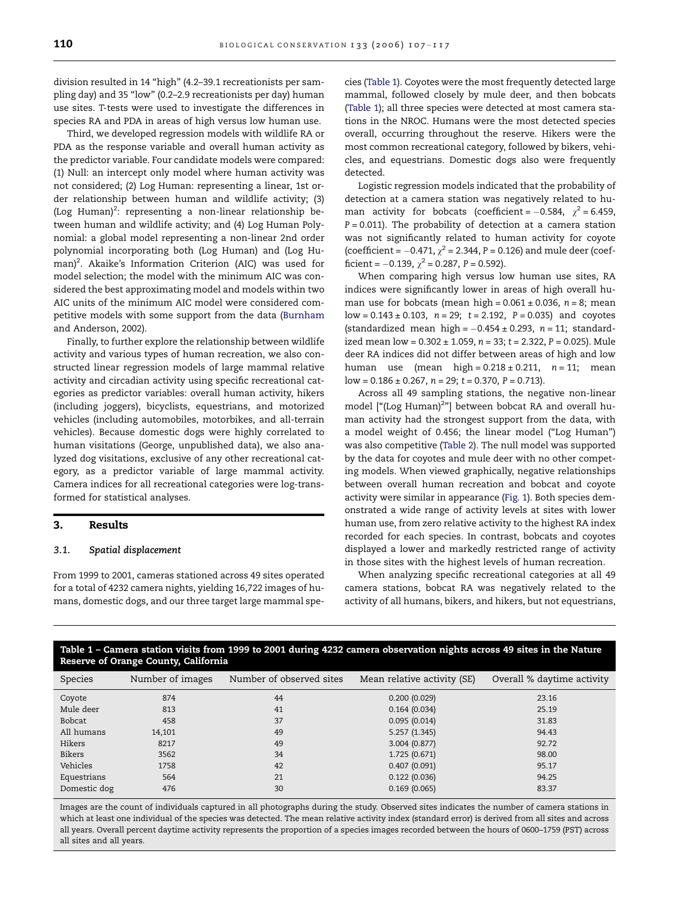<span id="page-3-0"></span>division resulted in 14 ''high'' (4.2–39.1 recreationists per sampling day) and 35 ''low'' (0.2–2.9 recreationists per day) human use sites. T-tests were used to investigate the differences in species RA and PDA in areas of high versus low human use.

Third, we developed regression models with wildlife RA or PDA as the response variable and overall human activity as the predictor variable. Four candidate models were compared: (1) Null: an intercept only model where human activity was not considered; (2) Log Human: representing a linear, 1st order relationship between human and wildlife activity; (3) (Log Human)<sup>2</sup>: representing a non-linear relationship between human and wildlife activity; and (4) Log Human Polynomial: a global model representing a non-linear 2nd order polynomial incorporating both (Log Human) and (Log Human)<sup>2</sup>. Akaike's Information Criterion (AIC) was used for model selection; the model with the minimum AIC was considered the best approximating model and models within two AIC units of the minimum AIC model were considered competitive models with some support from the data ([Burnham](#page-8-0) [and Anderson, 2002](#page-8-0)).

Finally, to further explore the relationship between wildlife activity and various types of human recreation, we also constructed linear regression models of large mammal relative activity and circadian activity using specific recreational categories as predictor variables: overall human activity, hikers (including joggers), bicyclists, equestrians, and motorized vehicles (including automobiles, motorbikes, and all-terrain vehicles). Because domestic dogs were highly correlated to human visitations (George, unpublished data), we also analyzed dog visitations, exclusive of any other recreational category, as a predictor variable of large mammal activity. Camera indices for all recreational categories were log-transformed for statistical analyses.

# 3. Results

#### 3.1. Spatial displacement

From 1999 to 2001, cameras stationed across 49 sites operated for a total of 4232 camera nights, yielding 16,722 images of humans, domestic dogs, and our three target large mammal species (Table 1). Coyotes were the most frequently detected large mammal, followed closely by mule deer, and then bobcats (Table 1); all three species were detected at most camera stations in the NROC. Humans were the most detected species overall, occurring throughout the reserve. Hikers were the most common recreational category, followed by bikers, vehicles, and equestrians. Domestic dogs also were frequently detected.

Logistic regression models indicated that the probability of detection at a camera station was negatively related to human activity for bobcats (coefficient =  $-0.584$ ,  $\chi^2$  = 6.459,  $P = 0.011$ ). The probability of detection at a camera station was not significantly related to human activity for coyote (coefficient =  $-0.471$ ,  $\chi^2$  = 2.344, P = 0.126) and mule deer (coefficient =  $-0.139$ ,  $\chi^2$  = 0.287, P = 0.592).

When comparing high versus low human use sites, RA indices were significantly lower in areas of high overall human use for bobcats (mean high =  $0.061 \pm 0.036$ , n = 8; mean  $low = 0.143 \pm 0.103$ ,  $n = 29$ ;  $t = 2.192$ ,  $P = 0.035$ ) and coyotes  ${\rm (standardized \ mean \ high} = -0.454 \pm 0.293, \ n = 11; \ standard$ ized mean  $low = 0.302 \pm 1.059$ ,  $n = 33$ ;  $t = 2.322$ ,  $P = 0.025$ ). Mule deer RA indices did not differ between areas of high and low human use (mean high =  $0.218 \pm 0.211$ ,  $n = 11$ ; mean  $low = 0.186 \pm 0.267$ ,  $n = 29$ ;  $t = 0.370$ ,  $P = 0.713$ ).

Across all 49 sampling stations, the negative non-linear model ["(Log Human)<sup>2</sup>"] between bobcat RA and overall human activity had the strongest support from the data, with a model weight of 0.456; the linear model (''Log Human'') was also competitive ([Table 2\)](#page-4-0). The null model was supported by the data for coyotes and mule deer with no other competing models. When viewed graphically, negative relationships between overall human recreation and bobcat and coyote activity were similar in appearance [\(Fig. 1](#page-5-0)). Both species demonstrated a wide range of activity levels at sites with lower human use, from zero relative activity to the highest RA index recorded for each species. In contrast, bobcats and coyotes displayed a lower and markedly restricted range of activity in those sites with the highest levels of human recreation.

When analyzing specific recreational categories at all 49 camera stations, bobcat RA was negatively related to the activity of all humans, bikers, and hikers, but not equestrians,

| Reserve of Orange County, California |                  |                          |                             |                            |  |  |  |  |
|--------------------------------------|------------------|--------------------------|-----------------------------|----------------------------|--|--|--|--|
| Species                              | Number of images | Number of observed sites | Mean relative activity (SE) | Overall % daytime activity |  |  |  |  |
| Coyote                               | 874              | 44                       | 0.200(0.029)                | 23.16                      |  |  |  |  |
| Mule deer                            | 813              | 41                       | 0.164(0.034)                | 25.19                      |  |  |  |  |
| Bobcat                               | 458              | 37                       | 0.095(0.014)                | 31.83                      |  |  |  |  |
| All humans                           | 14,101           | 49                       | 5.257(1.345)                | 94.43                      |  |  |  |  |
| Hikers                               | 8217             | 49                       | 3.004(0.877)                | 92.72                      |  |  |  |  |
| Bikers                               | 3562             | 34                       | 1.725 (0.671)               | 98.00                      |  |  |  |  |
| Vehicles                             | 1758             | 42                       | 0.407(0.091)                | 95.17                      |  |  |  |  |
| Equestrians                          | 564              | 21                       | 0.122(0.036)                | 94.25                      |  |  |  |  |
| Domestic dog                         | 476              | 30                       | 0.169(0.065)                | 83.37                      |  |  |  |  |

Table 1 – Camera station visits from 1999 to 2001 during 4232 camera observation nights across 49 sites in the Nature

Images are the count of individuals captured in all photographs during the study. Observed sites indicates the number of camera stations in which at least one individual of the species was detected. The mean relative activity index (standard error) is derived from all sites and across all years. Overall percent daytime activity represents the proportion of a species images recorded between the hours of 0600–1759 (PST) across all sites and all years.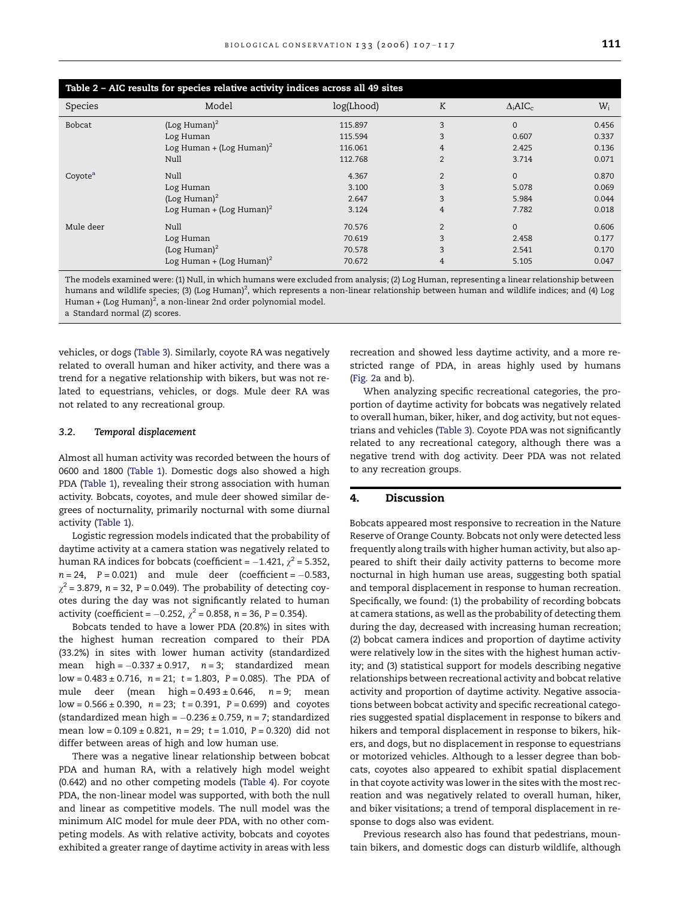<span id="page-4-0"></span>

| Table 2 - AIC results for species relative activity indices across all 49 sites |                                      |            |                |                             |       |  |  |
|---------------------------------------------------------------------------------|--------------------------------------|------------|----------------|-----------------------------|-------|--|--|
| Species                                                                         | Model                                | log(Lhood) | K              | $\Delta_i$ AIC <sub>c</sub> | $W_i$ |  |  |
| Bobcat                                                                          | (Log Human) $^2$                     | 115.897    | 3              | $\Omega$                    | 0.456 |  |  |
|                                                                                 | Log Human                            | 115.594    | 3              | 0.607                       | 0.337 |  |  |
|                                                                                 | Log Human + (Log Human) <sup>2</sup> | 116.061    | 4              | 2.425                       | 0.136 |  |  |
|                                                                                 | Null                                 | 112.768    | $\overline{2}$ | 3.714                       | 0.071 |  |  |
| Coyote <sup>a</sup>                                                             | Null                                 | 4.367      | 2              | $\Omega$                    | 0.870 |  |  |
|                                                                                 | Log Human                            | 3.100      | 3              | 5.078                       | 0.069 |  |  |
|                                                                                 | (Log Human) $^2$                     | 2.647      | 3              | 5.984                       | 0.044 |  |  |
|                                                                                 | Log Human + (Log Human) <sup>2</sup> | 3.124      | 4              | 7.782                       | 0.018 |  |  |
| Mule deer                                                                       | Null                                 | 70.576     | $\overline{2}$ | $\Omega$                    | 0.606 |  |  |
|                                                                                 | Log Human                            | 70.619     | 3              | 2.458                       | 0.177 |  |  |
|                                                                                 | (Log Human) $^2$                     | 70.578     | 3              | 2.541                       | 0.170 |  |  |
|                                                                                 | Log Human + (Log Human) <sup>2</sup> | 70.672     | 4              | 5.105                       | 0.047 |  |  |

The models examined were: (1) Null, in which humans were excluded from analysis; (2) Log Human, representing a linear relationship between humans and wildlife species; (3) (Log Human)<sup>2</sup>, which represents a non-linear relationship between human and wildlife indices; and (4) Log Human + (Log Human)<sup>2</sup>, a non-linear 2nd order polynomial model. a Standard normal (Z) scores.

vehicles, or dogs ([Table 3\)](#page-6-0). Similarly, coyote RA was negatively related to overall human and hiker activity, and there was a trend for a negative relationship with bikers, but was not related to equestrians, vehicles, or dogs. Mule deer RA was not related to any recreational group.

# 3.2. Temporal displacement

Almost all human activity was recorded between the hours of 0600 and 1800 ([Table 1](#page-3-0)). Domestic dogs also showed a high PDA [\(Table 1\)](#page-3-0), revealing their strong association with human activity. Bobcats, coyotes, and mule deer showed similar degrees of nocturnality, primarily nocturnal with some diurnal activity ([Table 1](#page-3-0)).

Logistic regression models indicated that the probability of daytime activity at a camera station was negatively related to human RA indices for bobcats (coefficient =  $-1.421, \chi^2$  = 5.352, n = 24, P = 0.021) and mule deer (coefficient = -0.583,  $\chi^2$  = 3.879, n = 32, P = 0.049). The probability of detecting coyotes during the day was not significantly related to human activity (coefficient =  $-0.252$ ,  $\chi^2$  = 0.858, n = 36, P = 0.354).

Bobcats tended to have a lower PDA (20.8%) in sites with the highest human recreation compared to their PDA (33.2%) in sites with lower human activity (standardized mean high = -0.337 ± 0.917, n = 3; standardized mean  $low = 0.483 \pm 0.716$ ,  $n = 21$ ;  $t = 1.803$ ,  $P = 0.085$ ). The PDA of mule deer (mean high =  $0.493 \pm 0.646$ ,  $n = 9$ ; mean  $low = 0.566 \pm 0.390$ ,  $n = 23$ ;  $t = 0.391$ ,  $P = 0.699$ ) and coyotes (standardized mean high = -0.236 ± 0.759, n = 7; standardized mean  $low = 0.109 \pm 0.821$ ,  $n = 29$ ;  $t = 1.010$ ,  $P = 0.320$ ) did not differ between areas of high and low human use.

There was a negative linear relationship between bobcat PDA and human RA, with a relatively high model weight (0.642) and no other competing models ([Table 4](#page-6-0)). For coyote PDA, the non-linear model was supported, with both the null and linear as competitive models. The null model was the minimum AIC model for mule deer PDA, with no other competing models. As with relative activity, bobcats and coyotes exhibited a greater range of daytime activity in areas with less

recreation and showed less daytime activity, and a more restricted range of PDA, in areas highly used by humans [\(Fig. 2a](#page-7-0) and b).

When analyzing specific recreational categories, the proportion of daytime activity for bobcats was negatively related to overall human, biker, hiker, and dog activity, but not equestrians and vehicles [\(Table 3](#page-6-0)). Coyote PDA was not significantly related to any recreational category, although there was a negative trend with dog activity. Deer PDA was not related to any recreation groups.

# 4. Discussion

Bobcats appeared most responsive to recreation in the Nature Reserve of Orange County. Bobcats not only were detected less frequently along trails with higher human activity, but also appeared to shift their daily activity patterns to become more nocturnal in high human use areas, suggesting both spatial and temporal displacement in response to human recreation. Specifically, we found: (1) the probability of recording bobcats at camera stations, as well as the probability of detecting them during the day, decreased with increasing human recreation; (2) bobcat camera indices and proportion of daytime activity were relatively low in the sites with the highest human activity; and (3) statistical support for models describing negative relationships between recreational activity and bobcat relative activity and proportion of daytime activity. Negative associations between bobcat activity and specific recreational categories suggested spatial displacement in response to bikers and hikers and temporal displacement in response to bikers, hikers, and dogs, but no displacement in response to equestrians or motorized vehicles. Although to a lesser degree than bobcats, coyotes also appeared to exhibit spatial displacement in that coyote activity was lower in the sites with the most recreation and was negatively related to overall human, hiker, and biker visitations; a trend of temporal displacement in response to dogs also was evident.

Previous research also has found that pedestrians, mountain bikers, and domestic dogs can disturb wildlife, although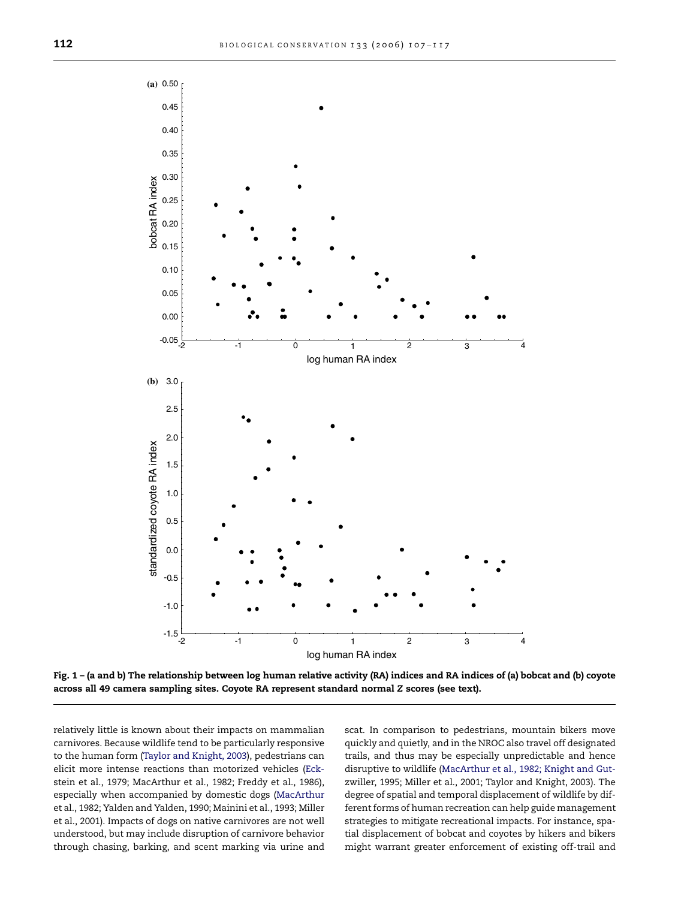<span id="page-5-0"></span>

Fig. 1 – (a and b) The relationship between log human relative activity (RA) indices and RA indices of (a) bobcat and (b) coyote across all 49 camera sampling sites. Coyote RA represent standard normal Z scores (see text).

relatively little is known about their impacts on mammalian carnivores. Because wildlife tend to be particularly responsive to the human form [\(Taylor and Knight, 2003\)](#page-10-0), pedestrians can elicit more intense reactions than motorized vehicles ([Eck](#page-9-0)[stein et al., 1979; MacArthur et al., 1982; Freddy et al., 1986\)](#page-9-0), especially when accompanied by domestic dogs [\(MacArthur](#page-9-0) [et al., 1982; Yalden and Yalden, 1990; Mainini et al., 1993; Miller](#page-9-0) [et al., 2001](#page-9-0)). Impacts of dogs on native carnivores are not well understood, but may include disruption of carnivore behavior through chasing, barking, and scent marking via urine and scat. In comparison to pedestrians, mountain bikers move quickly and quietly, and in the NROC also travel off designated trails, and thus may be especially unpredictable and hence disruptive to wildlife [\(MacArthur et al., 1982; Knight and Gut](#page-9-0)[zwiller, 1995; Miller et al., 2001; Taylor and Knight, 2003](#page-9-0)). The degree of spatial and temporal displacement of wildlife by different forms of human recreation can help guide management strategies to mitigate recreational impacts. For instance, spatial displacement of bobcat and coyotes by hikers and bikers might warrant greater enforcement of existing off-trail and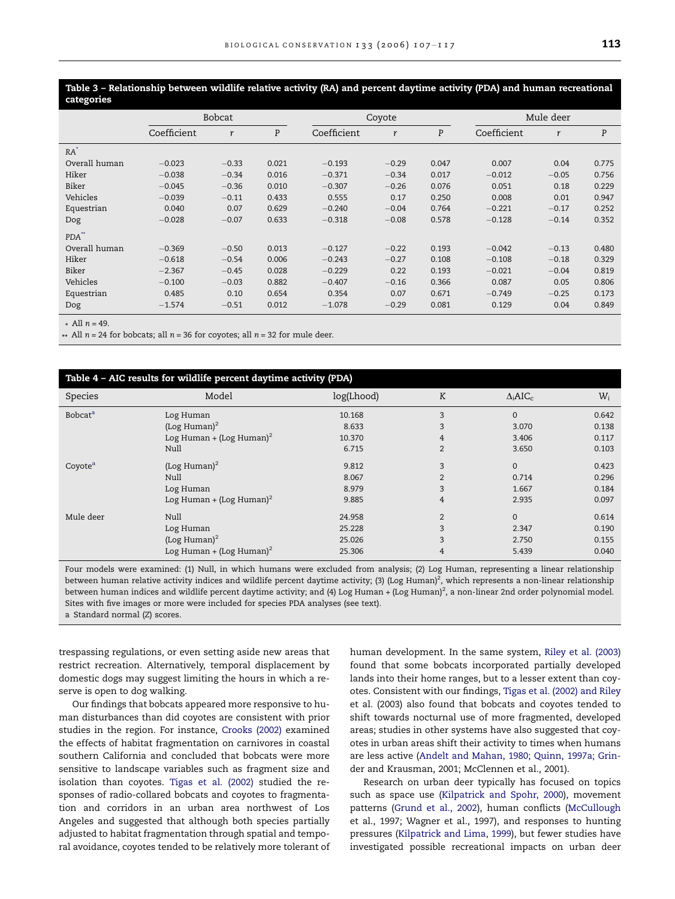<span id="page-6-0"></span>Table 3 – Relationship between wildlife relative activity (RA) and percent daytime activity (PDA) and human recreational categories

|                   | <b>Bobcat</b> |              |       | Coyote      |         |       | Mule deer   |         |       |
|-------------------|---------------|--------------|-------|-------------|---------|-------|-------------|---------|-------|
|                   | Coefficient   | $\mathbf{r}$ | P     | Coefficient | r       | P     | Coefficient | r       | P     |
| $RA^*$            |               |              |       |             |         |       |             |         |       |
| Overall human     | $-0.023$      | $-0.33$      | 0.021 | $-0.193$    | $-0.29$ | 0.047 | 0.007       | 0.04    | 0.775 |
| Hiker             | $-0.038$      | $-0.34$      | 0.016 | $-0.371$    | $-0.34$ | 0.017 | $-0.012$    | $-0.05$ | 0.756 |
| Biker             | $-0.045$      | $-0.36$      | 0.010 | $-0.307$    | $-0.26$ | 0.076 | 0.051       | 0.18    | 0.229 |
| Vehicles          | $-0.039$      | $-0.11$      | 0.433 | 0.555       | 0.17    | 0.250 | 0.008       | 0.01    | 0.947 |
| Equestrian        | 0.040         | 0.07         | 0.629 | $-0.240$    | $-0.04$ | 0.764 | $-0.221$    | $-0.17$ | 0.252 |
| Dog               | $-0.028$      | $-0.07$      | 0.633 | $-0.318$    | $-0.08$ | 0.578 | $-0.128$    | $-0.14$ | 0.352 |
| PDA <sup>**</sup> |               |              |       |             |         |       |             |         |       |
| Overall human     | $-0.369$      | $-0.50$      | 0.013 | $-0.127$    | $-0.22$ | 0.193 | $-0.042$    | $-0.13$ | 0.480 |
| Hiker             | $-0.618$      | $-0.54$      | 0.006 | $-0.243$    | $-0.27$ | 0.108 | $-0.108$    | $-0.18$ | 0.329 |
| Biker             | $-2.367$      | $-0.45$      | 0.028 | $-0.229$    | 0.22    | 0.193 | $-0.021$    | $-0.04$ | 0.819 |
| Vehicles          | $-0.100$      | $-0.03$      | 0.882 | $-0.407$    | $-0.16$ | 0.366 | 0.087       | 0.05    | 0.806 |
| Equestrian        | 0.485         | 0.10         | 0.654 | 0.354       | 0.07    | 0.671 | $-0.749$    | $-0.25$ | 0.173 |
| Dog               | $-1.574$      | $-0.51$      | 0.012 | $-1.078$    | $-0.29$ | 0.081 | 0.129       | 0.04    | 0.849 |

\* All  $n = 49$ .

\*\* All  $n = 24$  for bobcats; all  $n = 36$  for coyotes; all  $n = 32$  for mule deer.

| Table 4 - AIC results for wildlife percent daytime activity (PDA) |                                      |            |                |                             |       |  |  |
|-------------------------------------------------------------------|--------------------------------------|------------|----------------|-----------------------------|-------|--|--|
| Species                                                           | Model                                | log(Lhood) | K              | $\Delta_i$ AIC <sub>c</sub> | $W_i$ |  |  |
| <b>Bobcat</b> <sup>a</sup>                                        | Log Human                            | 10.168     | 3              | $\Omega$                    | 0.642 |  |  |
|                                                                   | (Log Human) $^2$                     | 8.633      | 3              | 3.070                       | 0.138 |  |  |
|                                                                   | Log Human + (Log Human) <sup>2</sup> | 10.370     | 4              | 3.406                       | 0.117 |  |  |
|                                                                   | Null                                 | 6.715      | $\overline{2}$ | 3.650                       | 0.103 |  |  |
| Coyote <sup>a</sup>                                               | (Log Human) $^2$                     | 9.812      | 3              | $\Omega$                    | 0.423 |  |  |
|                                                                   | Null                                 | 8.067      | $\overline{2}$ | 0.714                       | 0.296 |  |  |
|                                                                   | Log Human                            | 8.979      | 3              | 1.667                       | 0.184 |  |  |
|                                                                   | Log Human + (Log Human) <sup>2</sup> | 9.885      | 4              | 2.935                       | 0.097 |  |  |
| Mule deer                                                         | Null                                 | 24.958     | $\overline{2}$ | $\Omega$                    | 0.614 |  |  |
|                                                                   | Log Human                            | 25.228     | 3              | 2.347                       | 0.190 |  |  |
|                                                                   | (Log Human) $^2$                     | 25.026     | 3              | 2.750                       | 0.155 |  |  |
|                                                                   | Log Human + (Log Human) <sup>2</sup> | 25.306     | 4              | 5.439                       | 0.040 |  |  |

Four models were examined: (1) Null, in which humans were excluded from analysis; (2) Log Human, representing a linear relationship between human relative activity indices and wildlife percent daytime activity; (3) (Log Human)<sup>2</sup>, which represents a non-linear relationship between human indices and wildlife percent daytime activity; and (4) Log Human + (Log Human)<sup>2</sup>, a non-linear 2nd order polynomial model. Sites with five images or more were included for species PDA analyses (see text). a Standard normal (Z) scores.

trespassing regulations, or even setting aside new areas that restrict recreation. Alternatively, temporal displacement by domestic dogs may suggest limiting the hours in which a reserve is open to dog walking.

Our findings that bobcats appeared more responsive to human disturbances than did coyotes are consistent with prior studies in the region. For instance, [Crooks \(2002\)](#page-8-0) examined the effects of habitat fragmentation on carnivores in coastal southern California and concluded that bobcats were more sensitive to landscape variables such as fragment size and isolation than coyotes. [Tigas et al. \(2002\)](#page-10-0) studied the responses of radio-collared bobcats and coyotes to fragmentation and corridors in an urban area northwest of Los Angeles and suggested that although both species partially adjusted to habitat fragmentation through spatial and temporal avoidance, coyotes tended to be relatively more tolerant of human development. In the same system, [Riley et al. \(2003\)](#page-10-0) found that some bobcats incorporated partially developed lands into their home ranges, but to a lesser extent than coyotes. Consistent with our findings, [Tigas et al. \(2002\) and Riley](#page-10-0) [et al. \(2003\)](#page-10-0) also found that bobcats and coyotes tended to shift towards nocturnal use of more fragmented, developed areas; studies in other systems have also suggested that coyotes in urban areas shift their activity to times when humans are less active [\(Andelt and Mahan, 1980; Quinn, 1997a; Grin](#page-8-0)[der and Krausman, 2001; McClennen et al., 2001](#page-8-0)).

Research on urban deer typically has focused on topics such as space use [\(Kilpatrick and Spohr, 2000](#page-9-0)), movement patterns [\(Grund et al., 2002](#page-9-0)), human conflicts [\(McCullough](#page-9-0) [et al., 1997; Wagner et al., 1997](#page-9-0)), and responses to hunting pressures [\(Kilpatrick and Lima, 1999](#page-9-0)), but fewer studies have investigated possible recreational impacts on urban deer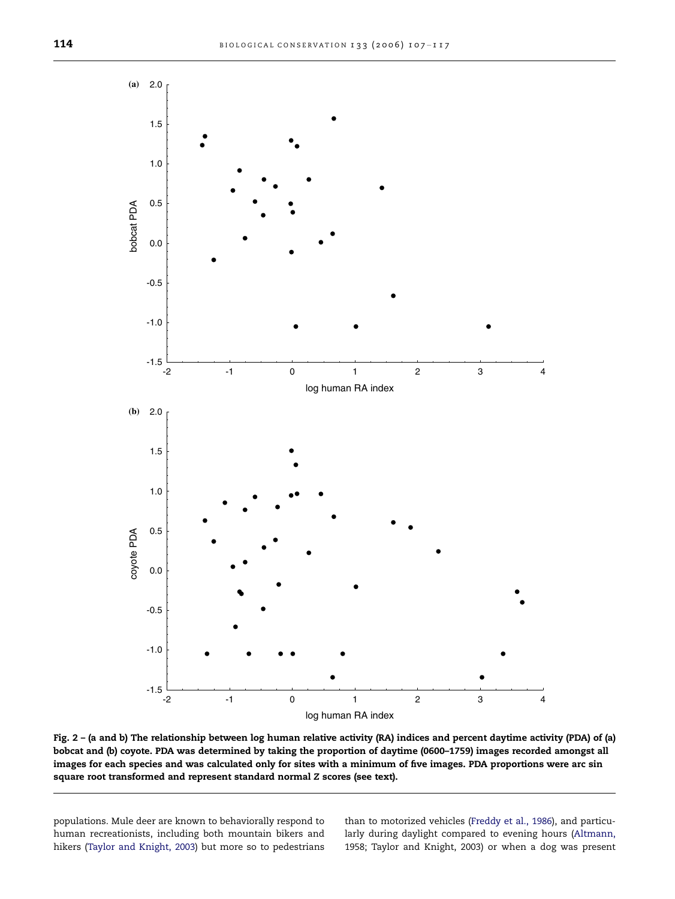<span id="page-7-0"></span>

Fig. 2 – (a and b) The relationship between log human relative activity (RA) indices and percent daytime activity (PDA) of (a) bobcat and (b) coyote. PDA was determined by taking the proportion of daytime (0600–1759) images recorded amongst all images for each species and was calculated only for sites with a minimum of five images. PDA proportions were arc sin square root transformed and represent standard normal Z scores (see text).

populations. Mule deer are known to behaviorally respond to human recreationists, including both mountain bikers and hikers [\(Taylor and Knight, 2003](#page-10-0)) but more so to pedestrians than to motorized vehicles ([Freddy et al., 1986](#page-9-0)), and particularly during daylight compared to evening hours ([Altmann,](#page-8-0) [1958; Taylor and Knight, 2003](#page-8-0)) or when a dog was present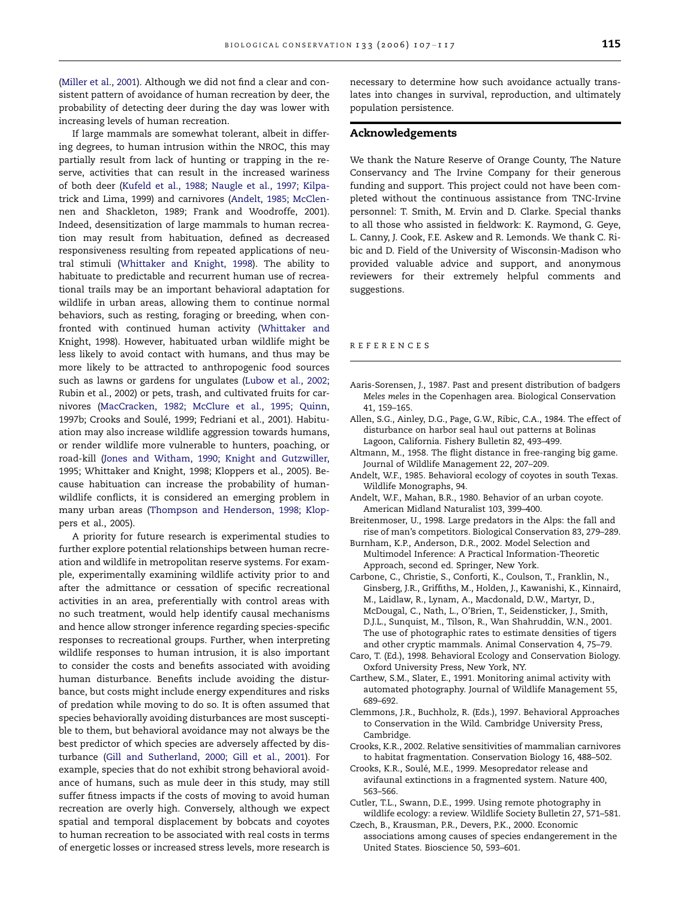<span id="page-8-0"></span>[\(Miller et al., 2001\)](#page-9-0). Although we did not find a clear and consistent pattern of avoidance of human recreation by deer, the probability of detecting deer during the day was lower with increasing levels of human recreation.

If large mammals are somewhat tolerant, albeit in differing degrees, to human intrusion within the NROC, this may partially result from lack of hunting or trapping in the reserve, activities that can result in the increased wariness of both deer [\(Kufeld et al., 1988; Naugle et al., 1997; Kilpa](#page-9-0)[trick and Lima, 1999\)](#page-9-0) and carnivores (Andelt, 1985; McClennen and Shackleton, 1989; Frank and Woodroffe, 2001). Indeed, desensitization of large mammals to human recreation may result from habituation, defined as decreased responsiveness resulting from repeated applications of neutral stimuli [\(Whittaker and Knight, 1998\)](#page-10-0). The ability to habituate to predictable and recurrent human use of recreational trails may be an important behavioral adaptation for wildlife in urban areas, allowing them to continue normal behaviors, such as resting, foraging or breeding, when confronted with continued human activity [\(Whittaker and](#page-10-0) [Knight, 1998](#page-10-0)). However, habituated urban wildlife might be less likely to avoid contact with humans, and thus may be more likely to be attracted to anthropogenic food sources such as lawns or gardens for ungulates [\(Lubow et al., 2002;](#page-9-0) [Rubin et al., 2002\)](#page-9-0) or pets, trash, and cultivated fruits for carnivores ([MacCracken, 1982; McClure et al., 1995; Quinn,](#page-9-0) 1997b; Crooks and Soulé, 1999; Fedriani et al., 2001). Habituation may also increase wildlife aggression towards humans, or render wildlife more vulnerable to hunters, poaching, or road-kill ([Jones and Witham, 1990; Knight and Gutzwiller,](#page-9-0) [1995; Whittaker and Knight, 1998; Kloppers et al., 2005](#page-9-0)). Because habituation can increase the probability of humanwildlife conflicts, it is considered an emerging problem in many urban areas [\(Thompson and Henderson, 1998; Klop](#page-10-0)[pers et al., 2005\)](#page-10-0).

A priority for future research is experimental studies to further explore potential relationships between human recreation and wildlife in metropolitan reserve systems. For example, experimentally examining wildlife activity prior to and after the admittance or cessation of specific recreational activities in an area, preferentially with control areas with no such treatment, would help identify causal mechanisms and hence allow stronger inference regarding species-specific responses to recreational groups. Further, when interpreting wildlife responses to human intrusion, it is also important to consider the costs and benefits associated with avoiding human disturbance. Benefits include avoiding the disturbance, but costs might include energy expenditures and risks of predation while moving to do so. It is often assumed that species behaviorally avoiding disturbances are most susceptible to them, but behavioral avoidance may not always be the best predictor of which species are adversely affected by disturbance ([Gill and Sutherland, 2000; Gill et al., 2001](#page-9-0)). For example, species that do not exhibit strong behavioral avoidance of humans, such as mule deer in this study, may still suffer fitness impacts if the costs of moving to avoid human recreation are overly high. Conversely, although we expect spatial and temporal displacement by bobcats and coyotes to human recreation to be associated with real costs in terms of energetic losses or increased stress levels, more research is

necessary to determine how such avoidance actually translates into changes in survival, reproduction, and ultimately population persistence.

# Acknowledgements

We thank the Nature Reserve of Orange County, The Nature Conservancy and The Irvine Company for their generous funding and support. This project could not have been completed without the continuous assistance from TNC-Irvine personnel: T. Smith, M. Ervin and D. Clarke. Special thanks to all those who assisted in fieldwork: K. Raymond, G. Geye, L. Canny, J. Cook, F.E. Askew and R. Lemonds. We thank C. Ribic and D. Field of the University of Wisconsin-Madison who provided valuable advice and support, and anonymous reviewers for their extremely helpful comments and suggestions.

#### REFERENCES

- Aaris-Sorensen, J., 1987. Past and present distribution of badgers Meles meles in the Copenhagen area. Biological Conservation 41, 159–165.
- Allen, S.G., Ainley, D.G., Page, G.W., Ribic, C.A., 1984. The effect of disturbance on harbor seal haul out patterns at Bolinas Lagoon, California. Fishery Bulletin 82, 493–499.
- Altmann, M., 1958. The flight distance in free-ranging big game. Journal of Wildlife Management 22, 207–209.
- Andelt, W.F., 1985. Behavioral ecology of coyotes in south Texas. Wildlife Monographs, 94.
- Andelt, W.F., Mahan, B.R., 1980. Behavior of an urban coyote. American Midland Naturalist 103, 399–400.
- Breitenmoser, U., 1998. Large predators in the Alps: the fall and rise of man's competitors. Biological Conservation 83, 279–289.
- Burnham, K.P., Anderson, D.R., 2002. Model Selection and Multimodel Inference: A Practical Information-Theoretic Approach, second ed. Springer, New York.
- Carbone, C., Christie, S., Conforti, K., Coulson, T., Franklin, N., Ginsberg, J.R., Griffiths, M., Holden, J., Kawanishi, K., Kinnaird, M., Laidlaw, R., Lynam, A., Macdonald, D.W., Martyr, D., McDougal, C., Nath, L., O'Brien, T., Seidensticker, J., Smith, D.J.L., Sunquist, M., Tilson, R., Wan Shahruddin, W.N., 2001. The use of photographic rates to estimate densities of tigers and other cryptic mammals. Animal Conservation 4, 75–79.
- Caro, T. (Ed.), 1998. Behavioral Ecology and Conservation Biology. Oxford University Press, New York, NY.
- Carthew, S.M., Slater, E., 1991. Monitoring animal activity with automated photography. Journal of Wildlife Management 55, 689–692.
- Clemmons, J.R., Buchholz, R. (Eds.), 1997. Behavioral Approaches to Conservation in the Wild. Cambridge University Press, Cambridge.
- Crooks, K.R., 2002. Relative sensitivities of mammalian carnivores to habitat fragmentation. Conservation Biology 16, 488–502.
- Crooks, K.R., Soulé, M.E., 1999. Mesopredator release and avifaunal extinctions in a fragmented system. Nature 400, 563–566.
- Cutler, T.L., Swann, D.E., 1999. Using remote photography in wildlife ecology: a review. Wildlife Society Bulletin 27, 571–581.
- Czech, B., Krausman, P.R., Devers, P.K., 2000. Economic associations among causes of species endangerement in the United States. Bioscience 50, 593–601.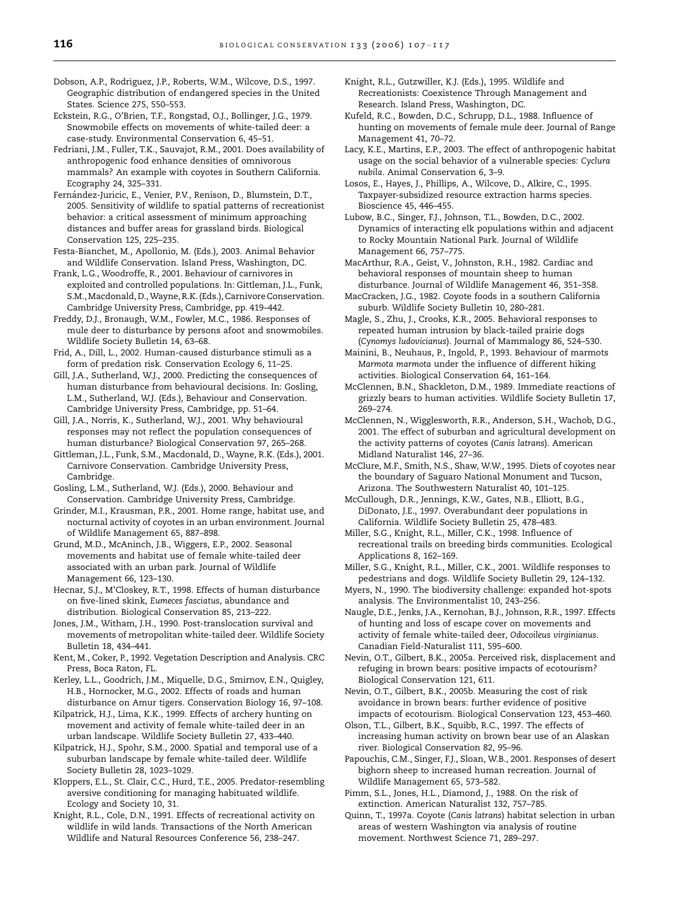- <span id="page-9-0"></span>Dobson, A.P., Rodriguez, J.P., Roberts, W.M., Wilcove, D.S., 1997. Geographic distribution of endangered species in the United States. Science 275, 550–553.
- Eckstein, R.G., O'Brien, T.F., Rongstad, O.J., Bollinger, J.G., 1979. Snowmobile effects on movements of white-tailed deer: a case-study. Environmental Conservation 6, 45–51.
- Fedriani, J.M., Fuller, T.K., Sauvajot, R.M., 2001. Does availability of anthropogenic food enhance densities of omnivorous mammals? An example with coyotes in Southern California. Ecography 24, 325–331.
- Fernández-Juricic, E., Venier, P.V., Renison, D., Blumstein, D.T., 2005. Sensitivity of wildlife to spatial patterns of recreationist behavior: a critical assessment of minimum approaching distances and buffer areas for grassland birds. Biological Conservation 125, 225–235.
- Festa-Bianchet, M., Apollonio, M. (Eds.), 2003. Animal Behavior and Wildlife Conservation. Island Press, Washington, DC.
- Frank, L.G., Woodroffe, R., 2001. Behaviour of carnivores in exploited and controlled populations. In: Gittleman, J.L., Funk, S.M., Macdonald, D., Wayne, R.K. (Eds.), Carnivore Conservation. Cambridge University Press, Cambridge, pp. 419–442.
- Freddy, D.J., Bronaugh, W.M., Fowler, M.C., 1986. Responses of mule deer to disturbance by persons afoot and snowmobiles. Wildlife Society Bulletin 14, 63–68.
- Frid, A., Dill, L., 2002. Human-caused disturbance stimuli as a form of predation risk. Conservation Ecology 6, 11–25.
- Gill, J.A., Sutherland, W.J., 2000. Predicting the consequences of human disturbance from behavioural decisions. In: Gosling, L.M., Sutherland, W.J. (Eds.), Behaviour and Conservation. Cambridge University Press, Cambridge, pp. 51–64.
- Gill, J.A., Norris, K., Sutherland, W.J., 2001. Why behavioural responses may not reflect the population consequences of human disturbance? Biological Conservation 97, 265–268.
- Gittleman, J.L., Funk, S.M., Macdonald, D., Wayne, R.K. (Eds.), 2001. Carnivore Conservation. Cambridge University Press, Cambridge.
- Gosling, L.M., Sutherland, W.J. (Eds.), 2000. Behaviour and Conservation. Cambridge University Press, Cambridge.
- Grinder, M.I., Krausman, P.R., 2001. Home range, habitat use, and nocturnal activity of coyotes in an urban environment. Journal of Wildlife Management 65, 887–898.
- Grund, M.D., McAninch, J.B., Wiggers, E.P., 2002. Seasonal movements and habitat use of female white-tailed deer associated with an urban park. Journal of Wildlife Management 66, 123–130.
- Hecnar, S.J., M'Closkey, R.T., 1998. Effects of human disturbance on five-lined skink, Eumeces fasciatus, abundance and distribution. Biological Conservation 85, 213–222.
- Jones, J.M., Witham, J.H., 1990. Post-translocation survival and movements of metropolitan white-tailed deer. Wildlife Society Bulletin 18, 434–441.
- Kent, M., Coker, P., 1992. Vegetation Description and Analysis. CRC Press, Boca Raton, FL.
- Kerley, L.L., Goodrich, J.M., Miquelle, D.G., Smirnov, E.N., Quigley, H.B., Hornocker, M.G., 2002. Effects of roads and human disturbance on Amur tigers. Conservation Biology 16, 97–108.
- Kilpatrick, H.J., Lima, K.K., 1999. Effects of archery hunting on movement and activity of female white-tailed deer in an urban landscape. Wildlife Society Bulletin 27, 433–440.
- Kilpatrick, H.J., Spohr, S.M., 2000. Spatial and temporal use of a suburban landscape by female white-tailed deer. Wildlife Society Bulletin 28, 1023–1029.
- Kloppers, E.L., St. Clair, C.C., Hurd, T.E., 2005. Predator-resembling aversive conditioning for managing habituated wildlife. Ecology and Society 10, 31.
- Knight, R.L., Cole, D.N., 1991. Effects of recreational activity on wildlife in wild lands. Transactions of the North American Wildlife and Natural Resources Conference 56, 238–247.
- Knight, R.L., Gutzwiller, K.J. (Eds.), 1995. Wildlife and Recreationists: Coexistence Through Management and Research. Island Press, Washington, DC.
- Kufeld, R.C., Bowden, D.C., Schrupp, D.L., 1988. Influence of hunting on movements of female mule deer. Journal of Range Management 41, 70–72.
- Lacy, K.E., Martins, E.P., 2003. The effect of anthropogenic habitat usage on the social behavior of a vulnerable species: Cyclura nubila. Animal Conservation 6, 3–9.
- Losos, E., Hayes, J., Phillips, A., Wilcove, D., Alkire, C., 1995. Taxpayer-subsidized resource extraction harms species. Bioscience 45, 446–455.
- Lubow, B.C., Singer, F.J., Johnson, T.L., Bowden, D.C., 2002. Dynamics of interacting elk populations within and adjacent to Rocky Mountain National Park. Journal of Wildlife Management 66, 757–775.
- MacArthur, R.A., Geist, V., Johnston, R.H., 1982. Cardiac and behavioral responses of mountain sheep to human disturbance. Journal of Wildlife Management 46, 351–358.
- MacCracken, J.G., 1982. Coyote foods in a southern California suburb. Wildlife Society Bulletin 10, 280–281.
- Magle, S., Zhu, J., Crooks, K.R., 2005. Behavioral responses to repeated human intrusion by black-tailed prairie dogs (Cynomys ludovicianus). Journal of Mammalogy 86, 524–530.
- Mainini, B., Neuhaus, P., Ingold, P., 1993. Behaviour of marmots Marmota marmota under the influence of different hiking activities. Biological Conservation 64, 161–164.
- McClennen, B.N., Shackleton, D.M., 1989. Immediate reactions of grizzly bears to human activities. Wildlife Society Bulletin 17, 269–274.
- McClennen, N., Wigglesworth, R.R., Anderson, S.H., Wachob, D.G., 2001. The effect of suburban and agricultural development on the activity patterns of coyotes (Canis latrans). American Midland Naturalist 146, 27–36.
- McClure, M.F., Smith, N.S., Shaw, W.W., 1995. Diets of coyotes near the boundary of Saguaro National Monument and Tucson, Arizona. The Southwestern Naturalist 40, 101–125.
- McCullough, D.R., Jennings, K.W., Gates, N.B., Elliott, B.G., DiDonato, J.E., 1997. Overabundant deer populations in California. Wildlife Society Bulletin 25, 478–483.
- Miller, S.G., Knight, R.L., Miller, C.K., 1998. Influence of recreational trails on breeding birds communities. Ecological Applications 8, 162–169.
- Miller, S.G., Knight, R.L., Miller, C.K., 2001. Wildlife responses to pedestrians and dogs. Wildlife Society Bulletin 29, 124–132.
- Myers, N., 1990. The biodiversity challenge: expanded hot-spots analysis. The Environmentalist 10, 243–256.
- Naugle, D.E., Jenks, J.A., Kernohan, B.J., Johnson, R.R., 1997. Effects of hunting and loss of escape cover on movements and activity of female white-tailed deer, Odocoileus virginianus. Canadian Field-Naturalist 111, 595–600.
- Nevin, O.T., Gilbert, B.K., 2005a. Perceived risk, displacement and refuging in brown bears: positive impacts of ecotourism? Biological Conservation 121, 611.
- Nevin, O.T., Gilbert, B.K., 2005b. Measuring the cost of risk avoidance in brown bears: further evidence of positive impacts of ecotourism. Biological Conservation 123, 453–460.
- Olson, T.L., Gilbert, B.K., Squibb, R.C., 1997. The effects of increasing human activity on brown bear use of an Alaskan river. Biological Conservation 82, 95–96.
- Papouchis, C.M., Singer, F.J., Sloan, W.B., 2001. Responses of desert bighorn sheep to increased human recreation. Journal of Wildlife Management 65, 573–582.
- Pimm, S.L., Jones, H.L., Diamond, J., 1988. On the risk of extinction. American Naturalist 132, 757–785.
- Quinn, T., 1997a. Coyote (Canis latrans) habitat selection in urban areas of western Washington via analysis of routine movement. Northwest Science 71, 289–297.